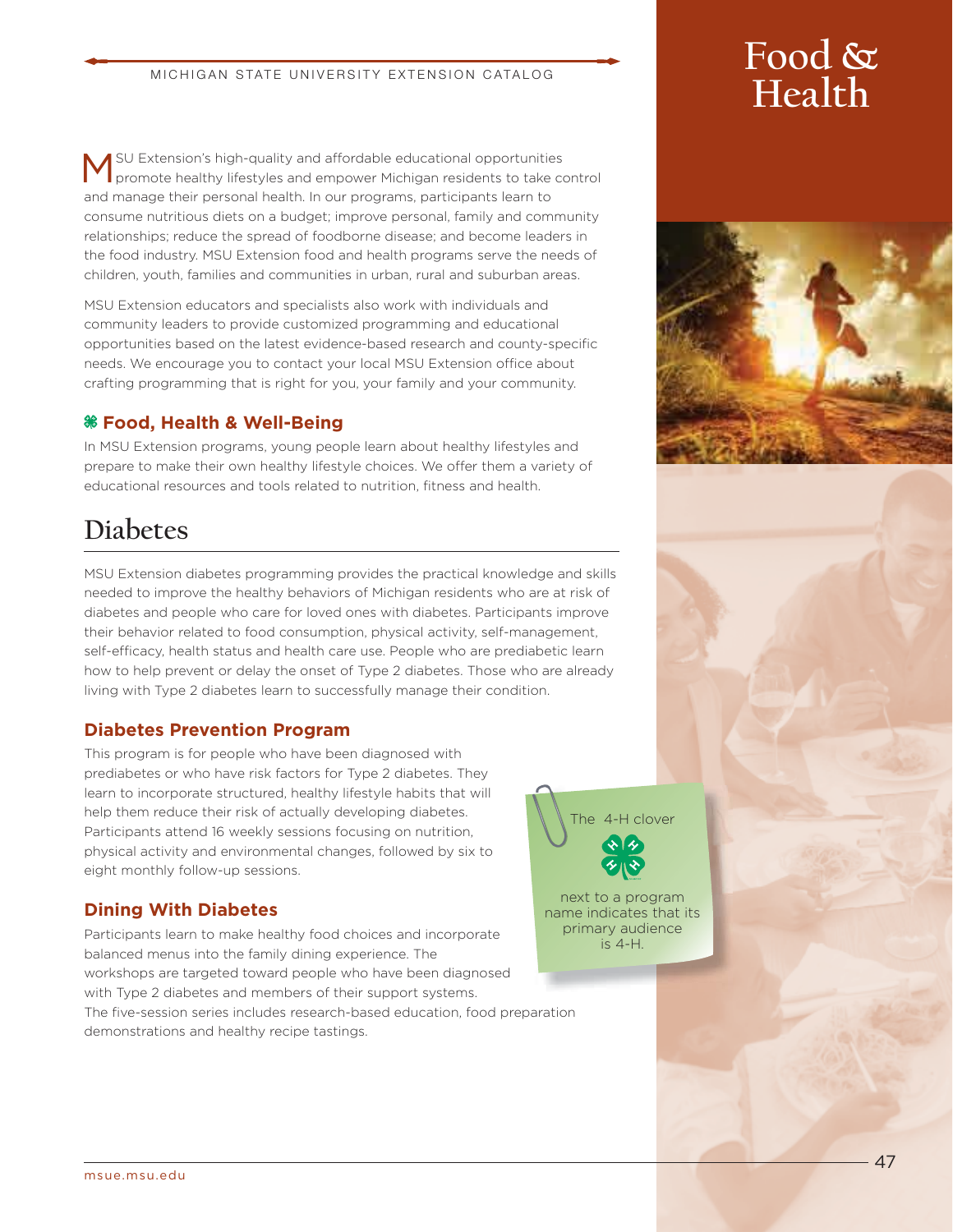#### MICHIGAN STATE UNIVERSITY EXTENSION CATALOG

SU Extension's high-quality and affordable educational opportunities promote healthy lifestyles and empower Michigan residents to take control and manage their personal health. In our programs, participants learn to consume nutritious diets on a budget; improve personal, family and community relationships; reduce the spread of foodborne disease; and become leaders in the food industry. MSU Extension food and health programs serve the needs of children, youth, families and communities in urban, rural and suburban areas.

MSU Extension educators and specialists also work with individuals and community leaders to provide customized programming and educational opportunities based on the latest evidence-based research and county-specific needs. We encourage you to contact your local MSU Extension office about crafting programming that is right for you, your family and your community.

#### **Food, Health & Well-Being**

In MSU Extension programs, young people learn about healthy lifestyles and prepare to make their own healthy lifestyle choices. We offer them a variety of educational resources and tools related to nutrition, fitness and health.

## **Diabetes**

MSU Extension diabetes programming provides the practical knowledge and skills needed to improve the healthy behaviors of Michigan residents who are at risk of diabetes and people who care for loved ones with diabetes. Participants improve their behavior related to food consumption, physical activity, self-management, self-efficacy, health status and health care use. People who are prediabetic learn how to help prevent or delay the onset of Type 2 diabetes. Those who are already living with Type 2 diabetes learn to successfully manage their condition.

#### **Diabetes Prevention Program**

This program is for people who have been diagnosed with prediabetes or who have risk factors for Type 2 diabetes. They learn to incorporate structured, healthy lifestyle habits that will help them reduce their risk of actually developing diabetes. Participants attend 16 weekly sessions focusing on nutrition, physical activity and environmental changes, followed by six to eight monthly follow-up sessions.

#### **Dining With Diabetes**

Participants learn to make healthy food choices and incorporate balanced menus into the family dining experience. The workshops are targeted toward people who have been diagnosed with Type 2 diabetes and members of their support systems. The five-session series includes research-based education, food preparation demonstrations and healthy recipe tastings.

# **Food & Health**





next to a program name indicates that its primary audience is 4-H.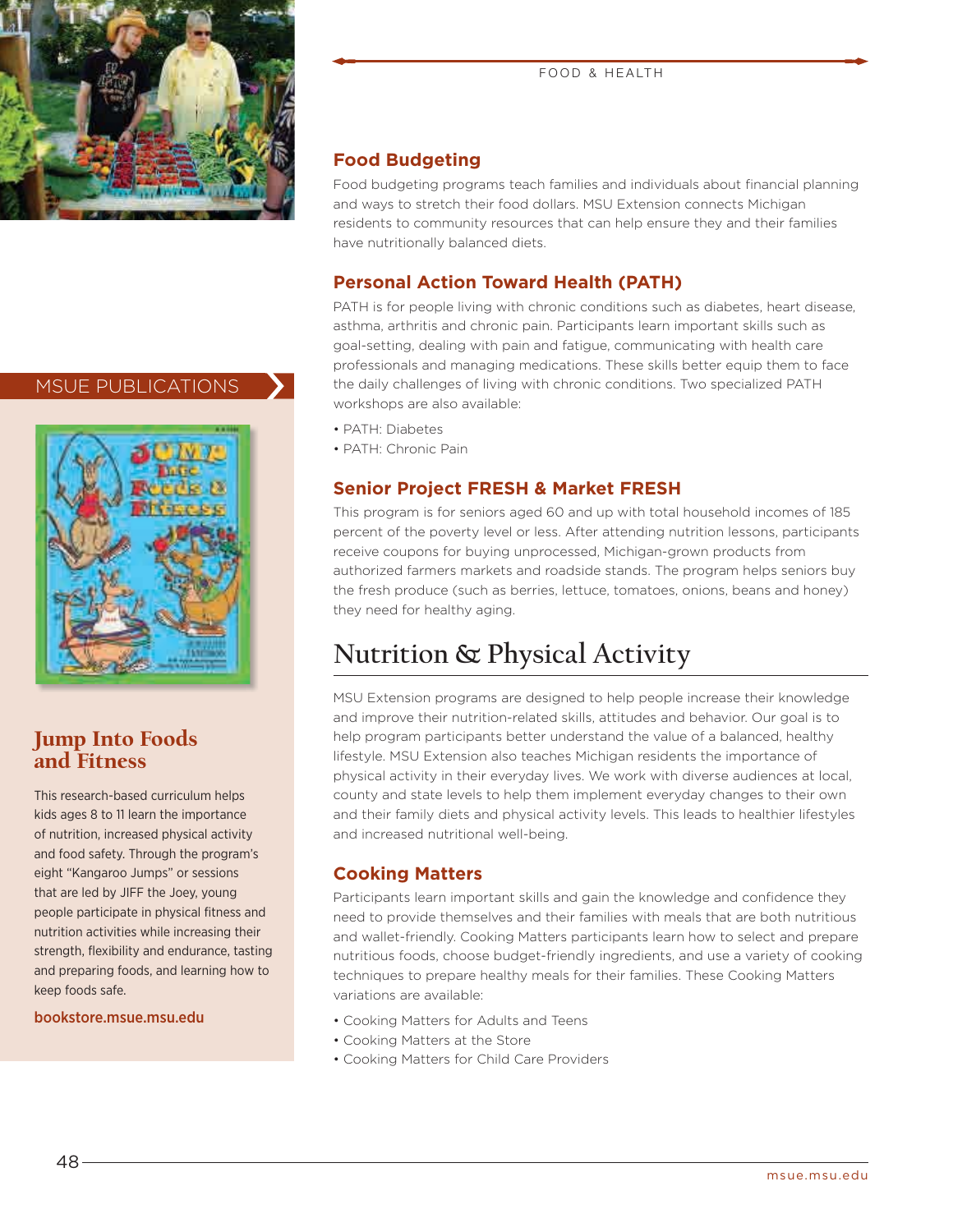

#### MSUE PUBLICATIONS



#### Jump Into Foods and Fitness

This research-based curriculum helps kids ages 8 to 11 learn the importance of nutrition, increased physical activity and food safety. Through the program's eight "Kangaroo Jumps" or sessions that are led by JIFF the Joey, young people participate in physical fitness and nutrition activities while increasing their strength, flexibility and endurance, tasting and preparing foods, and learning how to keep foods safe.

bookstore.msue.msu.edu

#### **Food Budgeting**

Food budgeting programs teach families and individuals about financial planning and ways to stretch their food dollars. MSU Extension connects Michigan residents to community resources that can help ensure they and their families have nutritionally balanced diets.

### **Personal Action Toward Health (PATH)**

PATH is for people living with chronic conditions such as diabetes, heart disease, asthma, arthritis and chronic pain. Participants learn important skills such as goal-setting, dealing with pain and fatigue, communicating with health care professionals and managing medications. These skills better equip them to face the daily challenges of living with chronic conditions. Two specialized PATH workshops are also available:

- PATH: Diabetes
- PATH: Chronic Pain

#### **Senior Project FRESH & Market FRESH**

This program is for seniors aged 60 and up with total household incomes of 185 percent of the poverty level or less. After attending nutrition lessons, participants receive coupons for buying unprocessed, Michigan-grown products from authorized farmers markets and roadside stands. The program helps seniors buy the fresh produce (such as berries, lettuce, tomatoes, onions, beans and honey) they need for healthy aging.

### **Nutrition & Physical Activity**

MSU Extension programs are designed to help people increase their knowledge and improve their nutrition-related skills, attitudes and behavior. Our goal is to help program participants better understand the value of a balanced, healthy lifestyle. MSU Extension also teaches Michigan residents the importance of physical activity in their everyday lives. We work with diverse audiences at local, county and state levels to help them implement everyday changes to their own and their family diets and physical activity levels. This leads to healthier lifestyles and increased nutritional well-being.

#### **Cooking Matters**

Participants learn important skills and gain the knowledge and confidence they need to provide themselves and their families with meals that are both nutritious and wallet-friendly. Cooking Matters participants learn how to select and prepare nutritious foods, choose budget-friendly ingredients, and use a variety of cooking techniques to prepare healthy meals for their families. These Cooking Matters variations are available:

- Cooking Matters for Adults and Teens
- Cooking Matters at the Store
- Cooking Matters for Child Care Providers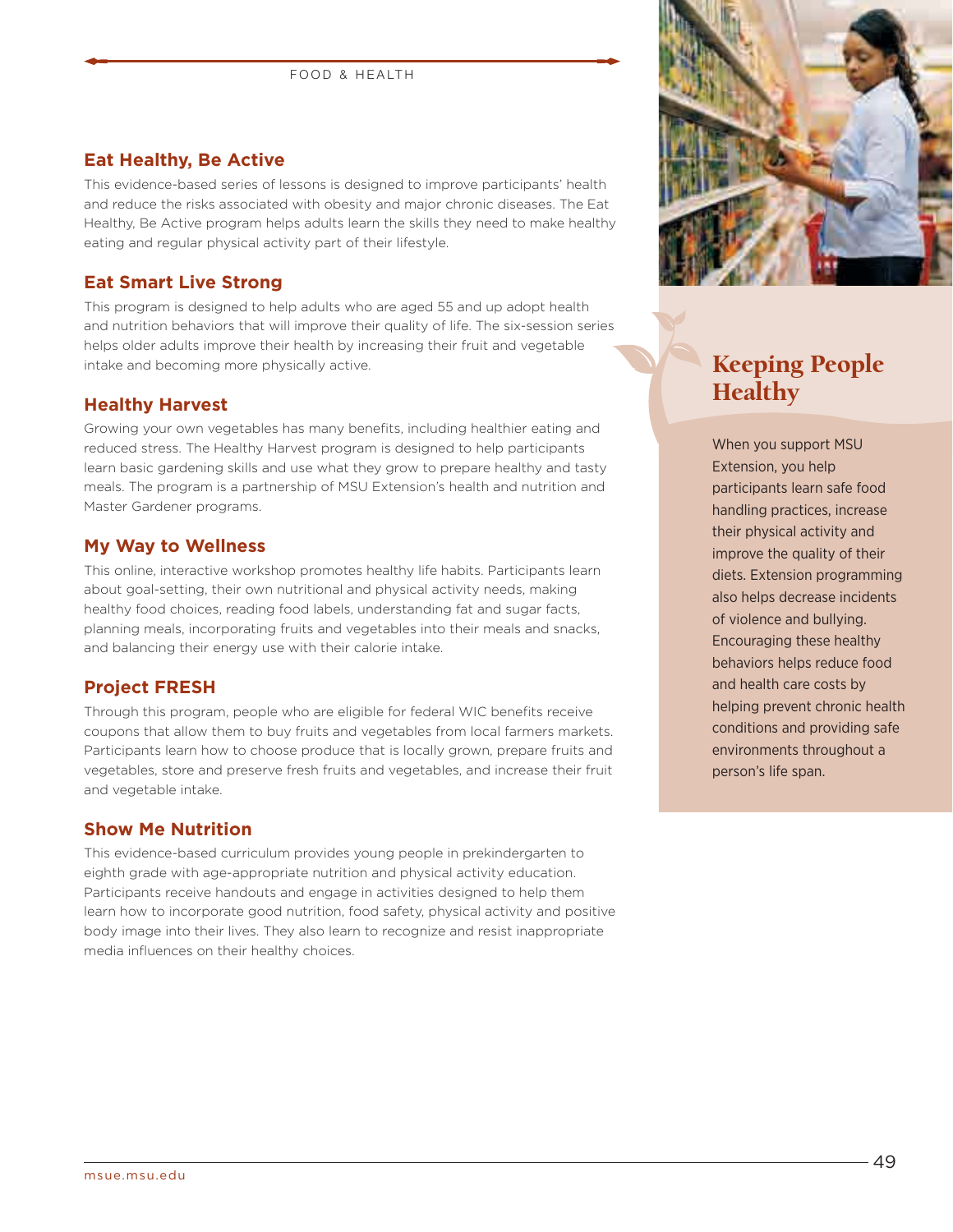#### **Eat Healthy, Be Active**

This evidence-based series of lessons is designed to improve participants' health and reduce the risks associated with obesity and major chronic diseases. The Eat Healthy, Be Active program helps adults learn the skills they need to make healthy eating and regular physical activity part of their lifestyle.

#### **Eat Smart Live Strong**

This program is designed to help adults who are aged 55 and up adopt health and nutrition behaviors that will improve their quality of life. The six-session series helps older adults improve their health by increasing their fruit and vegetable intake and becoming more physically active.

#### **Healthy Harvest**

Growing your own vegetables has many benefits, including healthier eating and reduced stress. The Healthy Harvest program is designed to help participants learn basic gardening skills and use what they grow to prepare healthy and tasty meals. The program is a partnership of MSU Extension's health and nutrition and Master Gardener programs.

#### **My Way to Wellness**

This online, interactive workshop promotes healthy life habits. Participants learn about goal-setting, their own nutritional and physical activity needs, making healthy food choices, reading food labels, understanding fat and sugar facts, planning meals, incorporating fruits and vegetables into their meals and snacks, and balancing their energy use with their calorie intake.

#### **Project FRESH**

Through this program, people who are eligible for federal WIC benefits receive coupons that allow them to buy fruits and vegetables from local farmers markets. Participants learn how to choose produce that is locally grown, prepare fruits and vegetables, store and preserve fresh fruits and vegetables, and increase their fruit and vegetable intake.

#### **Show Me Nutrition**

This evidence-based curriculum provides young people in prekindergarten to eighth grade with age-appropriate nutrition and physical activity education. Participants receive handouts and engage in activities designed to help them learn how to incorporate good nutrition, food safety, physical activity and positive body image into their lives. They also learn to recognize and resist inappropriate media influences on their healthy choices.



### Keeping People **Healthy**

When you support MSU Extension, you help participants learn safe food handling practices, increase their physical activity and improve the quality of their diets. Extension programming also helps decrease incidents of violence and bullying. Encouraging these healthy behaviors helps reduce food and health care costs by helping prevent chronic health conditions and providing safe environments throughout a person's life span.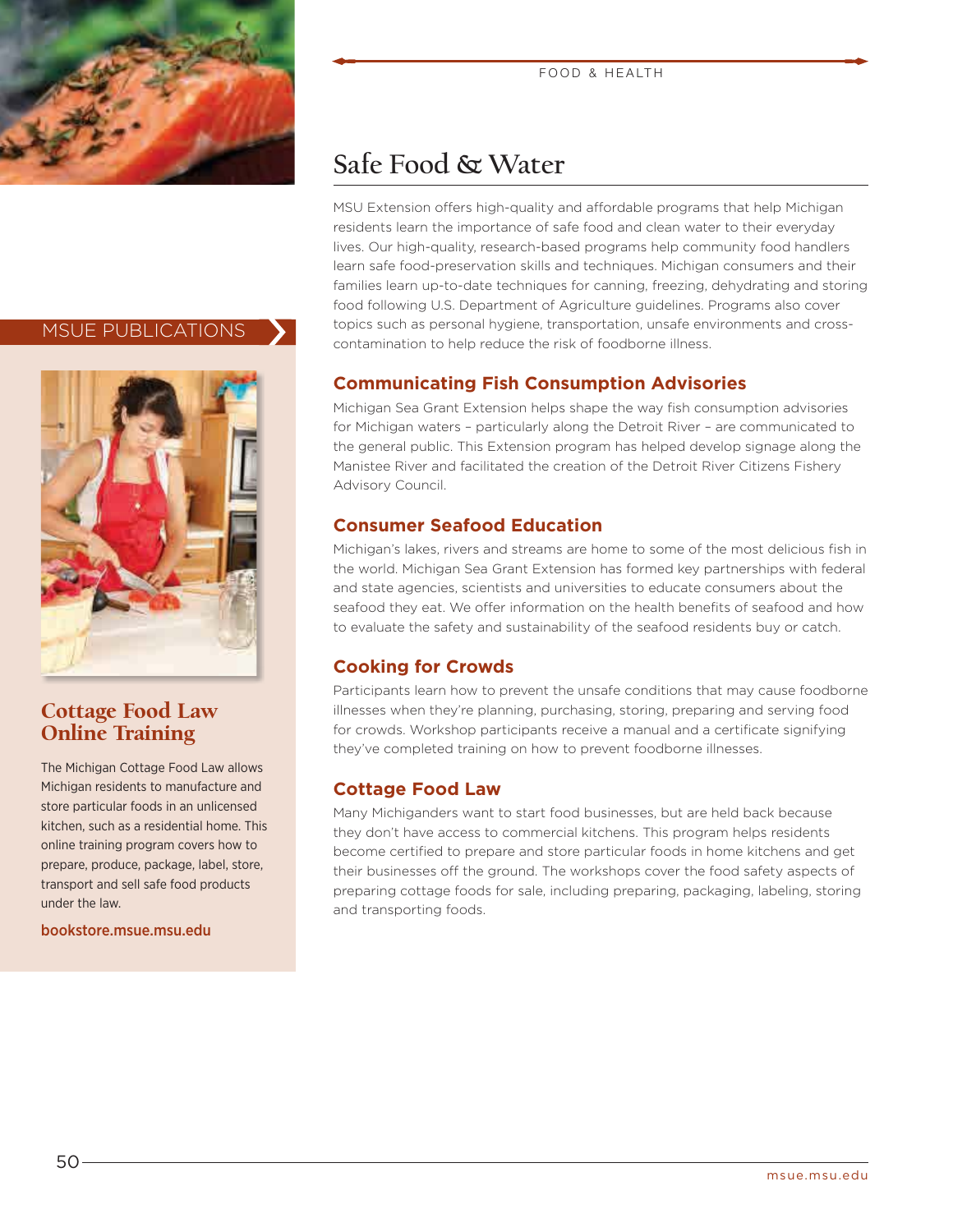

#### MSUE PUBLICATIONS



#### Cottage Food Law Online Training

The Michigan Cottage Food Law allows Michigan residents to manufacture and store particular foods in an unlicensed kitchen, such as a residential home. This online training program covers how to prepare, produce, package, label, store, transport and sell safe food products under the law.

bookstore.msue.msu.edu

## **Safe Food & Water**

MSU Extension offers high-quality and affordable programs that help Michigan residents learn the importance of safe food and clean water to their everyday lives. Our high-quality, research-based programs help community food handlers learn safe food-preservation skills and techniques. Michigan consumers and their families learn up-to-date techniques for canning, freezing, dehydrating and storing food following U.S. Department of Agriculture guidelines. Programs also cover topics such as personal hygiene, transportation, unsafe environments and crosscontamination to help reduce the risk of foodborne illness.

FOOD & HEALTH

#### **Communicating Fish Consumption Advisories**

Michigan Sea Grant Extension helps shape the way fish consumption advisories for Michigan waters – particularly along the Detroit River – are communicated to the general public. This Extension program has helped develop signage along the Manistee River and facilitated the creation of the Detroit River Citizens Fishery Advisory Council.

#### **Consumer Seafood Education**

Michigan's lakes, rivers and streams are home to some of the most delicious fish in the world. Michigan Sea Grant Extension has formed key partnerships with federal and state agencies, scientists and universities to educate consumers about the seafood they eat. We offer information on the health benefits of seafood and how to evaluate the safety and sustainability of the seafood residents buy or catch.

#### **Cooking for Crowds**

Participants learn how to prevent the unsafe conditions that may cause foodborne illnesses when they're planning, purchasing, storing, preparing and serving food for crowds. Workshop participants receive a manual and a certificate signifying they've completed training on how to prevent foodborne illnesses.

#### **Cottage Food Law**

Many Michiganders want to start food businesses, but are held back because they don't have access to commercial kitchens. This program helps residents become certified to prepare and store particular foods in home kitchens and get their businesses off the ground. The workshops cover the food safety aspects of preparing cottage foods for sale, including preparing, packaging, labeling, storing and transporting foods.